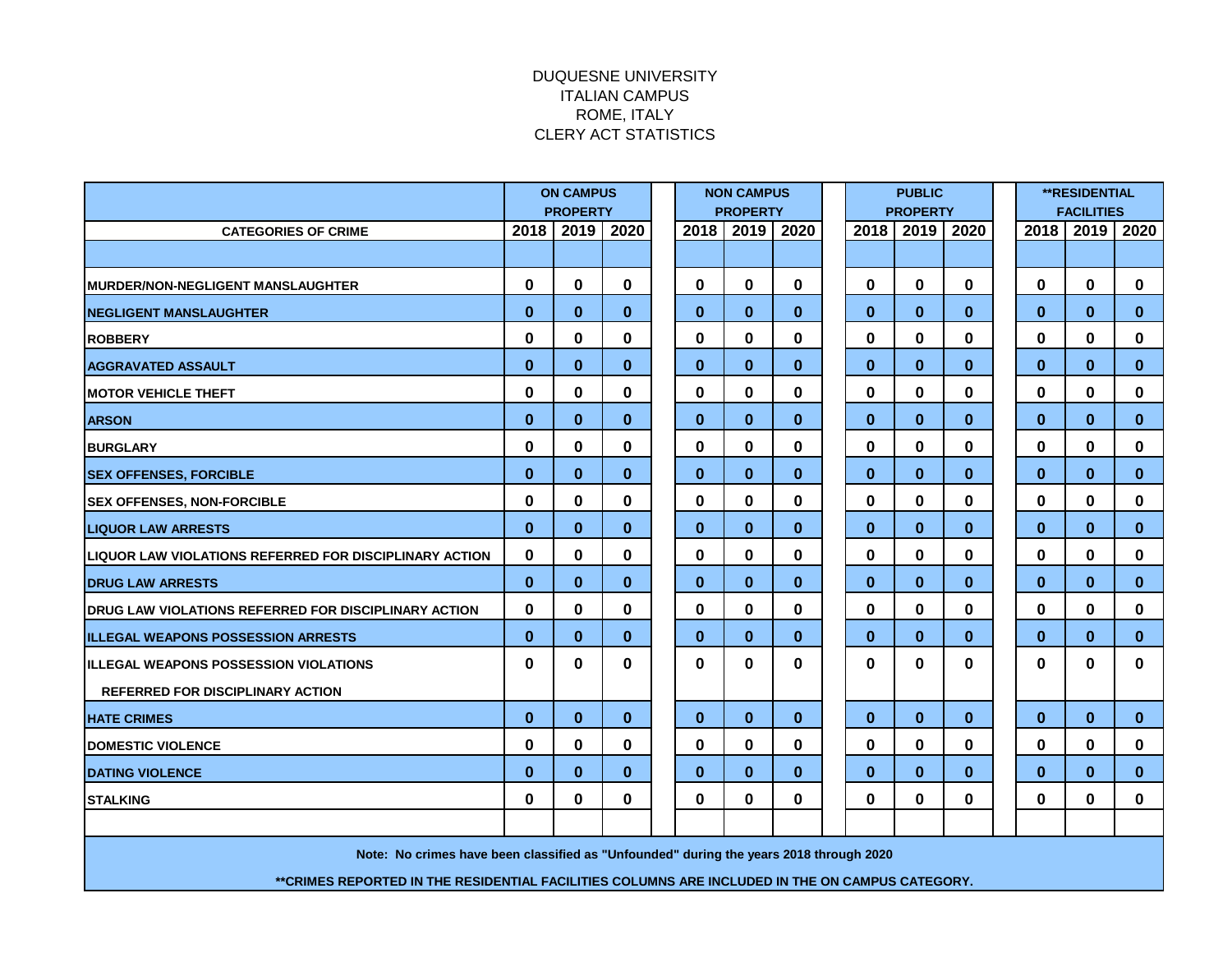## DUQUESNE UNIVERSITY ITALIAN CAMPUS ROME, ITALY CLERY ACT STATISTICS

|                                                                                                  | <b>ON CAMPUS</b> |             |          | <b>NON CAMPUS</b> |              |          | <b>PUBLIC</b> |                 |          |          | <b>**RESIDENTIAL</b> |          |              |  |
|--------------------------------------------------------------------------------------------------|------------------|-------------|----------|-------------------|--------------|----------|---------------|-----------------|----------|----------|----------------------|----------|--------------|--|
|                                                                                                  | <b>PROPERTY</b>  |             |          | <b>PROPERTY</b>   |              |          |               | <b>PROPERTY</b> |          |          | <b>FACILITIES</b>    |          |              |  |
| <b>CATEGORIES OF CRIME</b>                                                                       | 2018             | 2019        | 2020     | 2018              | 2019         | 2020     |               | 2018            | 2019     | 2020     | 2018                 | 2019     | 2020         |  |
|                                                                                                  |                  |             |          |                   |              |          |               |                 |          |          |                      |          |              |  |
| <b>MURDER/NON-NEGLIGENT MANSLAUGHTER</b>                                                         | 0                | $\mathbf 0$ | 0        | $\mathbf 0$       | 0            | 0        |               | $\mathbf 0$     | 0        | 0        | 0                    | $\bf{0}$ | 0            |  |
| <b>INEGLIGENT MANSLAUGHTER</b>                                                                   | $\bf{0}$         | $\bf{0}$    | $\bf{0}$ | $\bf{0}$          | $\bf{0}$     | $\bf{0}$ |               | $\bf{0}$        | $\bf{0}$ | $\bf{0}$ | $\bf{0}$             | $\bf{0}$ | $\mathbf{0}$ |  |
| <b>ROBBERY</b>                                                                                   | 0                | $\mathbf 0$ | 0        | 0                 | 0            | 0        |               | 0               | 0        | 0        | 0                    | 0        | 0            |  |
| <b>AGGRAVATED ASSAULT</b>                                                                        | $\bf{0}$         | $\bf{0}$    | $\bf{0}$ | $\bf{0}$          | $\bf{0}$     | $\bf{0}$ |               | $\bf{0}$        | $\bf{0}$ | $\bf{0}$ | $\bf{0}$             | $\bf{0}$ | $\bf{0}$     |  |
| <b>MOTOR VEHICLE THEFT</b>                                                                       | $\bf{0}$         | $\mathbf 0$ | $\bf{0}$ | 0                 | 0            | $\bf{0}$ |               | 0               | $\bf{0}$ | 0        | 0                    | $\bf{0}$ | 0            |  |
| <b>ARSON</b>                                                                                     | $\bf{0}$         | $\bf{0}$    | $\bf{0}$ | $\bf{0}$          | $\bf{0}$     | $\bf{0}$ |               | $\bf{0}$        | $\bf{0}$ | $\bf{0}$ | $\bf{0}$             | $\bf{0}$ | $\mathbf{0}$ |  |
| <b>BURGLARY</b>                                                                                  | $\mathbf{0}$     | $\bf{0}$    | $\bf{0}$ | 0                 | 0            | $\bf{0}$ |               | 0               | 0        | 0        | 0                    | 0        | $\mathbf{0}$ |  |
| <b>SEX OFFENSES, FORCIBLE</b>                                                                    | $\bf{0}$         | $\bf{0}$    | $\bf{0}$ | $\bf{0}$          | $\bf{0}$     | $\bf{0}$ |               | $\bf{0}$        | $\bf{0}$ | $\bf{0}$ | $\mathbf{0}$         | $\bf{0}$ | $\mathbf{0}$ |  |
| <b>SEX OFFENSES, NON-FORCIBLE</b>                                                                | $\bf{0}$         | 0           | $\bf{0}$ | 0                 | 0            | 0        |               | 0               | 0        | 0        | 0                    | 0        | 0            |  |
| <b>LIQUOR LAW ARRESTS</b>                                                                        | $\bf{0}$         | $\bf{0}$    | $\bf{0}$ | $\bf{0}$          | $\bf{0}$     | $\bf{0}$ |               | $\bf{0}$        | $\bf{0}$ | $\bf{0}$ | $\bf{0}$             | $\bf{0}$ | $\bf{0}$     |  |
| LIQUOR LAW VIOLATIONS REFERRED FOR DISCIPLINARY ACTION                                           | $\bf{0}$         | 0           | 0        | $\bf{0}$          | 0            | 0        |               | 0               | 0        | 0        | 0                    | 0        | 0            |  |
| <b>DRUG LAW ARRESTS</b>                                                                          | $\bf{0}$         | $\bf{0}$    | $\bf{0}$ | $\bf{0}$          | $\bf{0}$     | $\bf{0}$ |               | $\bf{0}$        | $\bf{0}$ | $\bf{0}$ | $\mathbf{0}$         | $\bf{0}$ | $\bf{0}$     |  |
| <b>IDRUG LAW VIOLATIONS REFERRED FOR DISCIPLINARY ACTION</b>                                     | $\mathbf{0}$     | $\bf{0}$    | $\bf{0}$ | $\bf{0}$          | $\mathbf{0}$ | $\bf{0}$ |               | $\mathbf{0}$    | $\bf{0}$ | 0        | $\mathbf{0}$         | $\bf{0}$ | $\mathbf{0}$ |  |
| <b>IILLEGAL WEAPONS POSSESSION ARRESTS</b>                                                       | $\mathbf{0}$     | $\bf{0}$    | $\bf{0}$ | $\bf{0}$          | $\bf{0}$     | $\bf{0}$ |               | $\mathbf{0}$    | $\bf{0}$ | $\bf{0}$ | $\bf{0}$             | $\bf{0}$ | $\mathbf 0$  |  |
| <b>IILLEGAL WEAPONS POSSESSION VIOLATIONS</b>                                                    | $\bf{0}$         | $\bf{0}$    | 0        | $\bf{0}$          | 0            | 0        |               | $\bf{0}$        | 0        | 0        | 0                    | $\bf{0}$ | 0            |  |
| <b>REFERRED FOR DISCIPLINARY ACTION</b>                                                          |                  |             |          |                   |              |          |               |                 |          |          |                      |          |              |  |
| <b>HATE CRIMES</b>                                                                               | $\bf{0}$         | $\bf{0}$    | $\bf{0}$ | $\bf{0}$          | $\bf{0}$     | $\bf{0}$ |               | $\mathbf{0}$    | $\bf{0}$ | $\bf{0}$ | $\mathbf{0}$         | $\bf{0}$ | $\mathbf{0}$ |  |
| <b>DOMESTIC VIOLENCE</b>                                                                         | 0                | $\mathbf 0$ | 0        | $\bf{0}$          | 0            | 0        |               | 0               | 0        | 0        | 0                    | 0        | 0            |  |
| <b>DATING VIOLENCE</b>                                                                           | $\bf{0}$         | $\bf{0}$    | $\bf{0}$ | $\bf{0}$          | $\bf{0}$     | $\bf{0}$ |               | $\bf{0}$        | $\bf{0}$ | $\bf{0}$ | $\bf{0}$             | $\bf{0}$ | $\bf{0}$     |  |
| <b>STALKING</b>                                                                                  | $\bf{0}$         | $\mathbf 0$ | $\bf{0}$ | $\bf{0}$          | 0            | $\bf{0}$ |               | $\bf{0}$        | $\bf{0}$ | 0        | 0                    | $\bf{0}$ | 0            |  |
|                                                                                                  |                  |             |          |                   |              |          |               |                 |          |          |                      |          |              |  |
| Note: No crimes have been classified as "Unfounded" during the years 2018 through 2020           |                  |             |          |                   |              |          |               |                 |          |          |                      |          |              |  |
| ** CRIMES REPORTED IN THE RESIDENTIAL FACILITIES COLUMNS ARE INCLUDED IN THE ON CAMPUS CATEGORY. |                  |             |          |                   |              |          |               |                 |          |          |                      |          |              |  |